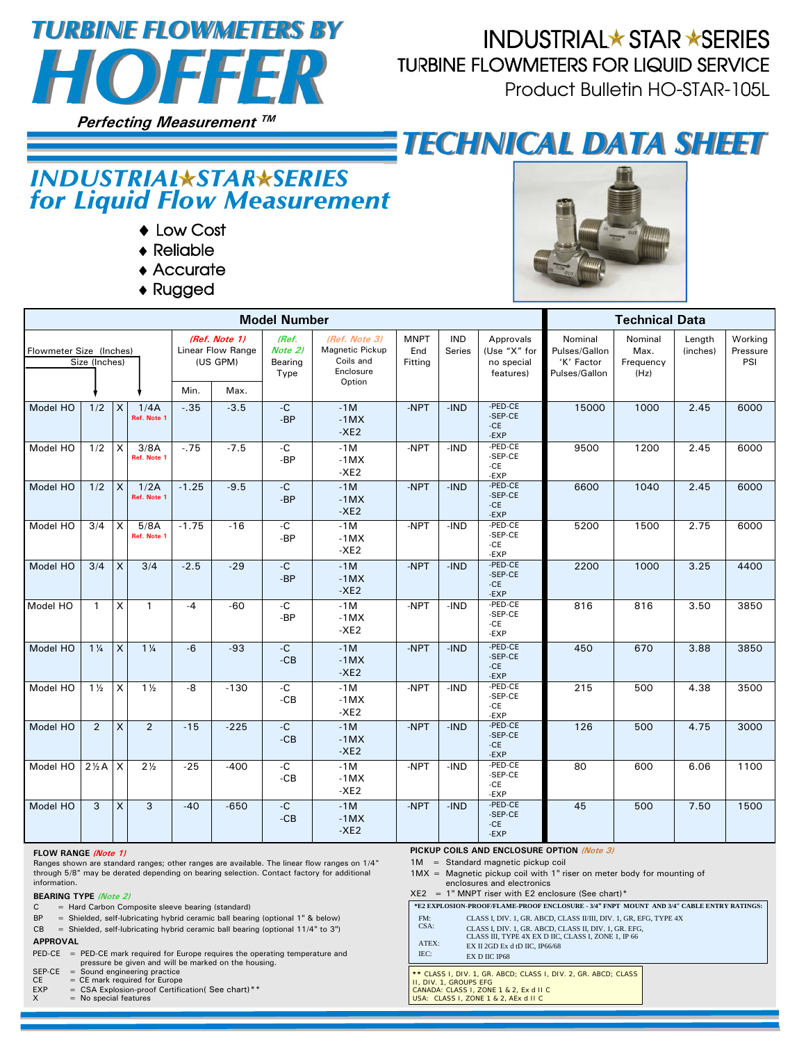

## **INDUSTRIAL★ STAR ★SERIES** TURBINE FLOWMETERS FOR LIQUID SERVICE

Product Bulletin HO-STAR-105L

# *TECHNICAL DATA SHEET*

### **INDUSTRIAL\*STAR\*SERIES** for Liquid Flow Measurement

- ◆ Low Cost
- ◆ Reliable
- ◆ Accurate
- ◆ Rugged

| <b>Model Number</b>                      |                 |              |                     |                                                |        |                                     |                                                            | <b>Technical Data</b>         |                             |                                                      |                                                         |                                      |                    |                            |
|------------------------------------------|-----------------|--------------|---------------------|------------------------------------------------|--------|-------------------------------------|------------------------------------------------------------|-------------------------------|-----------------------------|------------------------------------------------------|---------------------------------------------------------|--------------------------------------|--------------------|----------------------------|
| Flowmeter Size (Inches)<br>Size (Inches) |                 |              |                     | (Ref. Note 1)<br>Linear Flow Range<br>(US GPM) |        | (Ref.<br>Note 2)<br>Bearing<br>Type | (Ref. Note 3)<br>Magnetic Pickup<br>Coils and<br>Enclosure | <b>MNPT</b><br>End<br>Fitting | <b>IND</b><br><b>Series</b> | Approvals<br>(Use "X" for<br>no special<br>features) | Nominal<br>Pulses/Gallon<br>'K' Factor<br>Pulses/Gallon | Nominal<br>Max.<br>Frequency<br>(Hz) | Length<br>(inches) | Working<br>Pressure<br>PSI |
|                                          |                 |              |                     | Min.                                           | Max.   |                                     | Option                                                     |                               |                             |                                                      |                                                         |                                      |                    |                            |
| Model HO                                 | 1/2             | X            | 1/4A<br>Ref. Note 1 | $-35$                                          | $-3.5$ | $-C$<br>$-BP$                       | $-1M$<br>$-1MX$<br>$-XE2$                                  | -NPT                          | $-IND$                      | -PED-CE<br>-SEP-CE<br>$-CE$<br>-EXP                  | 15000                                                   | 1000                                 | 2.45               | 6000                       |
| Model HO                                 | 1/2             | X            | 3/8A<br>Ref. Note 1 | $-75$                                          | $-7.5$ | $-C$<br>$-BP$                       | $-1M$<br>$-1MX$<br>$-XE2$                                  | -NPT                          | $-IND$                      | -PED-CE<br>-SEP-CE<br>-CE<br>-EXP                    | 9500                                                    | 1200                                 | 2.45               | 6000                       |
| Model HO                                 | 1/2             | $\mathsf{X}$ | 1/2A<br>Ref. Note 1 | $-1.25$                                        | $-9.5$ | $-C$<br>$-BP$                       | $-1M$<br>$-1MX$<br>$-XE2$                                  | -NPT                          | $-IND$                      | -PED-CE<br>-SEP-CE<br>$-CE$<br>-EXP                  | 6600                                                    | 1040                                 | 2.45               | 6000                       |
| Model HO                                 | 3/4             | X            | 5/8A<br>Ref. Note 1 | $-1.75$                                        | $-16$  | $-C$<br>-BP                         | $-1M$<br>$-1MX$<br>$-XE2$                                  | -NPT                          | $-IND$                      | -PED-CE<br>-SEP-CE<br>-CE<br>-EXP                    | 5200                                                    | 1500                                 | 2.75               | 6000                       |
| Model HO                                 | 3/4             | $\mathsf{x}$ | 3/4                 | $-2.5$                                         | $-29$  | $-C$<br>$-BP$                       | $-1M$<br>$-1MX$<br>$-XE2$                                  | -NPT                          | $-IND$                      | -PED-CE<br>-SEP-CE<br>$-CE$<br>-EXP                  | 2200                                                    | 1000                                 | 3.25               | 4400                       |
| Model HO                                 | $\mathbf{1}$    | X            | $\mathbf{1}$        | $-4$                                           | $-60$  | $-C$<br>$-BP$                       | $-1M$<br>$-1MX$<br>$-XE2$                                  | -NPT                          | -IND                        | -PED-CE<br>-SEP-CE<br>-CE<br>-EXP                    | 816                                                     | 816                                  | 3.50               | 3850                       |
| Model HO                                 | $1\frac{1}{4}$  | $\mathsf{x}$ | $1\frac{1}{4}$      | $-6$                                           | $-93$  | $-C$<br>$-CB$                       | $-1M$<br>$-1MX$<br>$-XE2$                                  | -NPT                          | $-IND$                      | -PED-CE<br>-SEP-CE<br>$-CE$<br>-EXP                  | 450                                                     | 670                                  | 3.88               | 3850                       |
| Model HO                                 | $1\frac{1}{2}$  | X            | $1\frac{1}{2}$      | -8                                             | $-130$ | $-C$<br>$-CB$                       | $-1M$<br>$-1MX$<br>$-XE2$                                  | -NPT                          | $-IND$                      | -PED-CE<br>-SEP-CE<br>-CE<br>-EXP                    | 215                                                     | 500                                  | 4.38               | 3500                       |
| Model HO                                 | 2               | $\mathsf{x}$ | 2                   | $-15$                                          | $-225$ | $-C$<br>$-CB$                       | $-1M$<br>$-1MX$<br>$-XE2$                                  | -NPT                          | $-IND$                      | -PED-CE<br>-SEP-CE<br>$-CE$<br>-EXP                  | 126                                                     | 500                                  | 4.75               | 3000                       |
| Model HO                                 | $2\frac{1}{2}A$ | l x          | $2\frac{1}{2}$      | $-25$                                          | $-400$ | $-C$<br>$-CB$                       | $-1M$<br>$-1MX$<br>$-XE2$                                  | -NPT                          | $-IND$                      | -PED-CE<br>-SEP-CE<br>-CE<br>-EXP                    | 80                                                      | 600                                  | 6.06               | 1100                       |
| Model HO                                 | 3               | $\mathsf{x}$ | 3                   | $-40$                                          | $-650$ | $-C$<br>$-CB$                       | $-1M$<br>$-1MX$<br>$-XE2$                                  | -NPT                          | $-IND$                      | -PED-CE<br>-SEP-CE<br>$-CE$<br>-EXP                  | 45                                                      | 500                                  | 7.50               | 1500                       |

#### **FLOW RANGE (Note 1)**

Ranges shown are standard ranges; other ranges are available. The linear flow ranges on 1/4" through 5/8" may be derated depending on bearing selection. Contact factory for additional information.

#### **BEARING TYPE (Note 2)**

C = Hard Carbon Composite sleeve bearing (standard)

- BP = Shielded, self-lubricating hybrid ceramic ball bearing (optional 1" & below)
- CB = Shielded, self-lubricating hybrid ceramic ball bearing (optional 11/4" to 3")

#### **APPROVAL**

PED-CE = PED-CE mark required for Europe requires the operating temperature and<br>pressure be given and will be marked on the housing.<br>SEP-CE = Sound engineering practice

- 
- CE = CE mark required for Europe<br>EXP = CSA Explosion-proof Certific
- EXP = CSA Explosion-proof Certification( See chart)\*\*<br>X = No special features

 **PICKUP COILS AND ENCLOSURE OPTION (Note 3)**

1M = Standard magnetic pickup coil

 1MX = Magnetic pickup coil with 1" riser on meter body for mounting of enclosures and electronics

 $XE2 = 1"$  MNPT riser with E2 enclosure (See chart)\*

| *E2 EXPLOSION-PROOF/FLAME-PROOF ENCLOSURE - 3/4" FNPT MOUNT AND 3/4" CABLE ENTRY RATINGS: |                                                                                                              |  |  |  |  |  |  |
|-------------------------------------------------------------------------------------------|--------------------------------------------------------------------------------------------------------------|--|--|--|--|--|--|
| FM:                                                                                       | CLASS I. DIV. 1. GR. ABCD. CLASS II/III. DIV. 1. GR. EFG. TYPE 4X                                            |  |  |  |  |  |  |
| $CSA$ :                                                                                   | CLASS I, DIV. 1, GR. ABCD, CLASS II, DIV. 1, GR. EFG.<br>CLASS III. TYPE 4X EX D IIC. CLASS I. ZONE 1. IP 66 |  |  |  |  |  |  |
| ATEX:                                                                                     | EX II 2GD Ex d tD IIC. IP66/68                                                                               |  |  |  |  |  |  |
| IEC:                                                                                      | EX D IIC IP68                                                                                                |  |  |  |  |  |  |
| ** CLASS I, DIV, 1, GR, ABCD: CLASS I, DIV, 2, GR, ABCD: CLASS<br>II. DIV. 1. GROUPS EFG  |                                                                                                              |  |  |  |  |  |  |

II, DIV. 1, GROUPS EFG CANADA: CLASS I, ZONE 1 & 2, Ex d II C USA: CLASS I, ZONE 1 & 2, AEx d II C